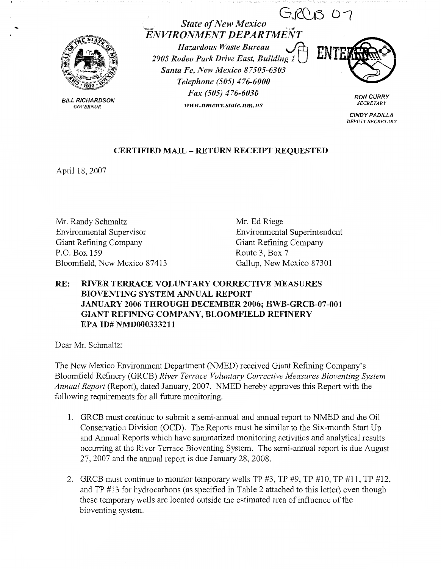$GRMSO7$ 



**BILL RICHARDSON**  *GOVERNOR* 

*ENVIRONMEJVT DEPARTMENT Hazardous Waste Bureau*  $\bigoplus$  **ENT** 2905 Rodeo Park Drive East, Building 1 *Santa Fe, New Mexico 87505-6303 Telephone (505) 476-6000 Fax (505) 476-6030* 

**State of New Mexico** 

*www.nmenv.state.nm.us* 

**RON CURRY**  *SECRET ARI'* 

**CINDY PADILLA**  *DEPUTY SECRETARY* 

## **CERTIFIED MAIL** - **RETURN RECEIPT REQUESTED**

April 18, 2007

Mr. Randy Schmaltz Environmental Supervisor Giant Refining Company P.O. Box 159 Bloomfield, New Mexico 87413 Mr. Ed Riege Environmental Superintendent Giant Refining Company Route 3, Box 7 Gallup, New Mexico 87301

# **RE: RIVER TERRACE VOLUNTARY CORRECTIVE MEASURES BIOVENTING SYSTEM ANNUAL REPORT JANUARY 2006 THROUGH DECEMBER 2006; HWB-GRCB-07-001 GIANT REFINING COMPANY, BLOOMFIELD REFINERY EPA ID# NMD000333211**

Dear Mr. Schmaltz:

The New Mexico Environment Department (NMED) received Giant Refining Company's Bloomfield Refinery (GRCB) River Terrace Voluntary Corrective Measures Bioventing System *Annual Report* (Report), dated January, 2007. NMED hereby approves this Report with the following requirements for all future monitoring.

- 1. GRCB must continue to submit a semi-annual and annual report to NMED and the Oil Conservation Division (OCD). The Reports must be similar to the Six-month Start Up and Annual Reports which have summarized monitoring activities and analytical results occurring at the River Terrace Bioventing System. The semi-annual report is due August 27, 2007 and the annual report is due January 28, 2008.
- 2. GRCB must continue to monitor temporary wells TP #3, TP #9, TP #10, TP #11, TP #12, and TP #13 for hydrocarbons (as specified in Table 2 attached to this letter) even though these temporary wells are located outside the estimated area of influence of the bioventing system.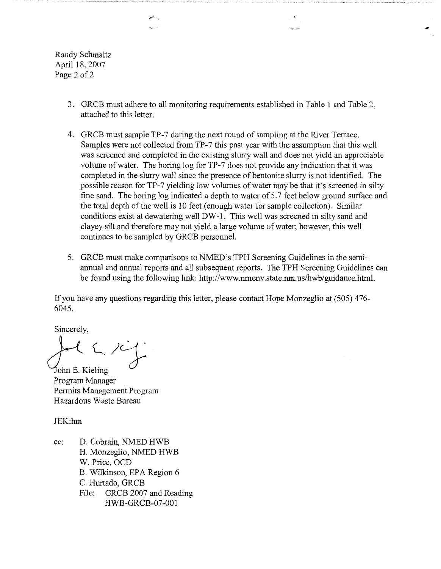Randy Schmaltz April 18, 2007 Page 2 of 2

- 3. GRCB must adhere to all monitoring requirements established in Table 1 and Table 2, attached to this letter.
- 4. GRCB must sample TP-7 during the next round of sampling at the River Terrace. Samples were not collected from TP-7 this past year with the assumption that this well was screened and completed in the existing slurry wall and does not yield an appreciable volume of water. The boring log for TP-7 does not provide any indication that it was completed in the slurry wall since the presence of bentonite slurry is not identified. The possible reason for TP-7 yielding low volumes of water may be that it's screened in silty fine sand. The boring log indicated a depth to water of 5.7 feet below ground surface and the total depth of the well is 10 feet ( enough water for sample collection). Similar conditions exist at dewatering well DW-1. This well was screened in silty sand and clayey silt and therefore may not yield a large volume of water; however, this well continues to be sampled by GRCB personnel.
- 5. GRCB must make comparisons to NMED's TPH Screening Guidelines in the semiannual and annual reports and all subsequent reports. The TPH Screening Guidelines can be found using the following link: http://www.nmenv.state.nm.us/hwb/guidance.html.

If you have any questions regarding this letter, please contact Hope Monzeglio at (505) 476- 6045.

Sincerely,

 $\mathcal{I}$ ohn E. Kieling

Program Manager Permits Management Program Hazardous Waste Bureau

JEK:hm

cc: D. Cobrain, NMED HWB H. Monzeglio, NMED HWB W. Price, OCD B. Wilkinson, EPA Region 6 C. Hurtado, GRCB File: GRCB 2007 and Reading HWB-GRCB-07-001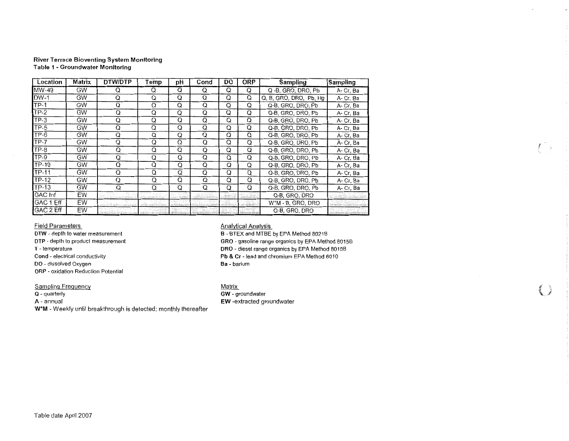#### **River Terrace Bioventing System Monitoring Table 1 - Groundwater Monitoring**

| Location         | Matrix    | DTW/DTP                  | Temp | рH | Cond | DO. | <b>ORP</b> | <b>Sampling</b>                | Sampling  |
|------------------|-----------|--------------------------|------|----|------|-----|------------|--------------------------------|-----------|
| $MW-49$          | <b>GW</b> | O                        | Q    | Q  | Q    | Q   | Q          | Q-B, GRO, DRO, Pb              | A-Cr, Ba  |
| $DW-1$           | GW        | Q                        | Q    | Q  | Q    | Q   | Q          | Q, B, GRO, DRO, Pb, Hg         | A- Cr, Ba |
| $TP-1$           | <b>GW</b> | Q                        | Q    | Q  | Q    | Q   | Q          | Q-B, GRO, DRO, Pb              | A- Cr, Ba |
| <b>TP-2</b>      | GW        | Q                        | Q    | Q  | Q    | Q   | Q          | Q-B, GRO, DRO, Pb              | A- Cr, Ba |
| $TP-3$           | <b>GW</b> | Q                        | Q    | Q  | Q    | Q   | Q          | Q-B, GRO, DRO, Pb              | A-Cr, Ba  |
| TP-5             | GW        | Q                        | Q    | Q  | Q    | Q   | Q          | Q-B, GRO, DRO, Pb              | A- Cr. Ba |
| $TP-6$           | <b>GW</b> | Q                        | Q    | Q  | Q    | Q   | Q          | Q-B, GRO, DRO, Pb              | A-Cr, Ba  |
| $TP-7$           | <b>GW</b> | Q                        | Q    | Q  | Q    | Q   | Q          | Q-B, GRO, DRO, Pb              | A- Cr, Ba |
| TP-8             | <b>GW</b> | Q                        | Q    | Q  | Q    | Q   | Q          | Q-B, GRO, DRO, Pb              | A- Cr, Ba |
| $TP-9$           | <b>GW</b> | Q                        | Q    | Q  | Q    | Q   | Q          | Q-B, GRO, DRO, Pb              | A- Cr, Ba |
| TP-10            | <b>GW</b> | Q                        | Q    | Q  | Q    | Q   | Q          | Q-B, GRO, DRO, Pb              | A- Cr, Ba |
| TP-11            | <b>GW</b> | Q                        | Q    | Q  | Q    | Q   | Q          | Q-B, GRO, DRO, Pb              | A- Cr, Ba |
| <b>TP-12</b>     | <b>GW</b> | Q                        | Q    | Q  | Q    | Q   | Q          | Q-B, GRO, DRO, Pb              | A-Cr, Ba  |
| TP-13            | GW        | Q                        | Q    | Q  | Q    | Q   | Q          | Q-B, GRO, DRO, Pb              | A- Cr. Ba |
| GAC Inf          | EW        | ne de la comunicación de |      |    |      |     |            | Q-B, GRO, DRO                  |           |
| <b>GAC 1 Eff</b> | EW        |                          |      |    |      |     |            | W <sup>*</sup> M - B, GRO, DRO |           |
| GAC 2 Eff        | EW        |                          |      |    |      |     |            | Q-B, GRO, DRO                  |           |

Field Parameters

**DTW** - depth to water measurement **DTP** - depth to product measurement **T** - temperature **Cond** - electrical conductivity **DO** - dissolved Oxygen

**ORP** - oxidation Reduction Potential

### **Sampling Frequency**

**Q** - quarterly

**A-** annual

**W\*M** - Weekly until breakthrough is detected; monthly thereafter

### Analytical Analysis

**B** - BTEX and MTBE by EPA Method 8021B **GRO** - gasoline range organics by EPA Method 8015B **DRO** - diesel range organics by EPA Method 8015B **Pb & Cr** - lead and chromium EPA Method 6010 **Ba** - barium

<u>Matrix</u> **GW** - groundwater **EW** -extracted groundwater